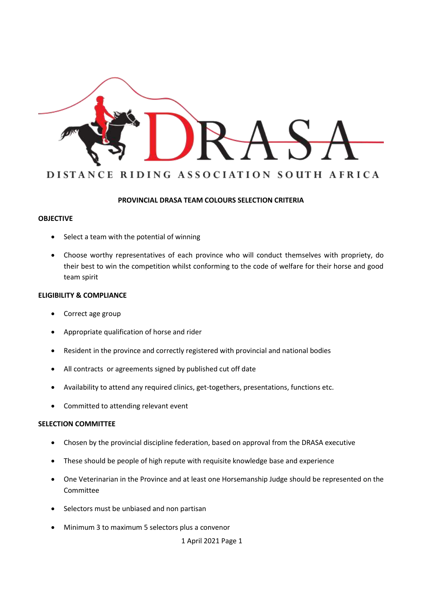

### **PROVINCIAL DRASA TEAM COLOURS SELECTION CRITERIA**

### **OBJECTIVE**

- Select a team with the potential of winning
- Choose worthy representatives of each province who will conduct themselves with propriety, do their best to win the competition whilst conforming to the code of welfare for their horse and good team spirit

#### **ELIGIBILITY & COMPLIANCE**

- Correct age group
- Appropriate qualification of horse and rider
- Resident in the province and correctly registered with provincial and national bodies
- All contracts or agreements signed by published cut off date
- Availability to attend any required clinics, get-togethers, presentations, functions etc.
- Committed to attending relevant event

#### **SELECTION COMMITTEE**

- Chosen by the provincial discipline federation, based on approval from the DRASA executive
- These should be people of high repute with requisite knowledge base and experience
- One Veterinarian in the Province and at least one Horsemanship Judge should be represented on the Committee
- Selectors must be unbiased and non partisan
- Minimum 3 to maximum 5 selectors plus a convenor

1 April 2021 Page 1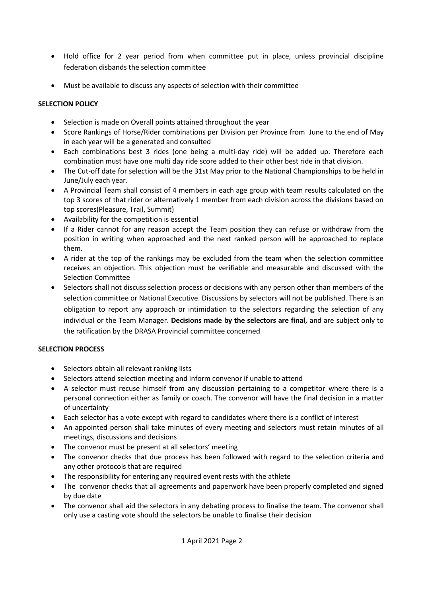- Hold office for 2 year period from when committee put in place, unless provincial discipline federation disbands the selection committee
- Must be available to discuss any aspects of selection with their committee

## **SELECTION POLICY**

- Selection is made on Overall points attained throughout the year
- Score Rankings of Horse/Rider combinations per Division per Province from June to the end of May in each year will be a generated and consulted
- Each combinations best 3 rides (one being a multi-day ride) will be added up. Therefore each combination must have one multi day ride score added to their other best ride in that division.
- The Cut-off date for selection will be the 31st May prior to the National Championships to be held in June/July each year.
- A Provincial Team shall consist of 4 members in each age group with team results calculated on the top 3 scores of that rider or alternatively 1 member from each division across the divisions based on top scores(Pleasure, Trail, Summit)
- Availability for the competition is essential
- If a Rider cannot for any reason accept the Team position they can refuse or withdraw from the position in writing when approached and the next ranked person will be approached to replace them.
- A rider at the top of the rankings may be excluded from the team when the selection committee receives an objection. This objection must be verifiable and measurable and discussed with the Selection Committee
- Selectors shall not discuss selection process or decisions with any person other than members of the selection committee or National Executive. Discussions by selectors will not be published. There is an obligation to report any approach or intimidation to the selectors regarding the selection of any individual or the Team Manager. **Decisions made by the selectors are final,** and are subject only to the ratification by the DRASA Provincial committee concerned

# **SELECTION PROCESS**

- Selectors obtain all relevant ranking lists
- Selectors attend selection meeting and inform convenor if unable to attend
- A selector must recuse himself from any discussion pertaining to a competitor where there is a personal connection either as family or coach. The convenor will have the final decision in a matter of uncertainty
- Each selector has a vote except with regard to candidates where there is a conflict of interest
- An appointed person shall take minutes of every meeting and selectors must retain minutes of all meetings, discussions and decisions
- The convenor must be present at all selectors' meeting
- The convenor checks that due process has been followed with regard to the selection criteria and any other protocols that are required
- The responsibility for entering any required event rests with the athlete
- The convenor checks that all agreements and paperwork have been properly completed and signed by due date
- The convenor shall aid the selectors in any debating process to finalise the team. The convenor shall only use a casting vote should the selectors be unable to finalise their decision